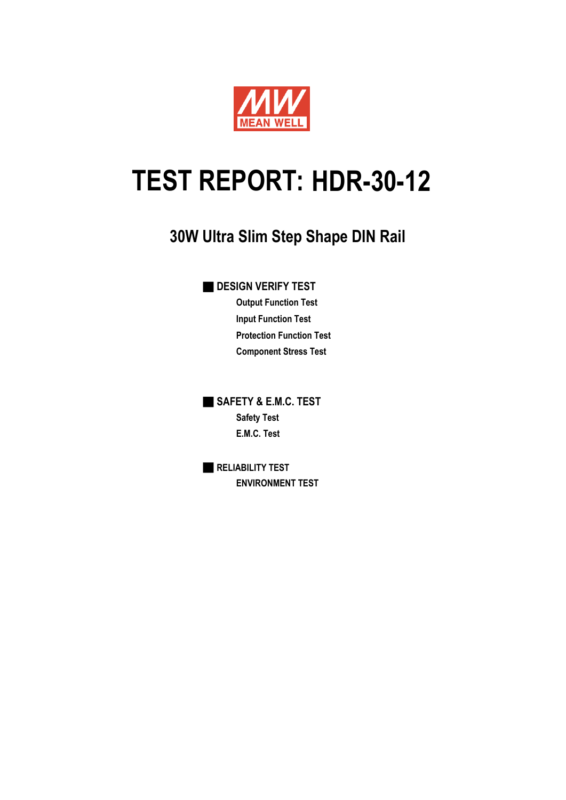

# TEST REPORT: HDR-30-12

## **30W Ultra Slim Step Shape DIN Rail**

**DESIGN VERIFY TEST** 

**Output Function Test Input Function Test Protection Function Test Component Stress Test**

**B** SAFETY & E.M.C. TEST **Safety Test E.M.C. Test**

■ **RELIABILITY TEST ENVIRONMENT TEST**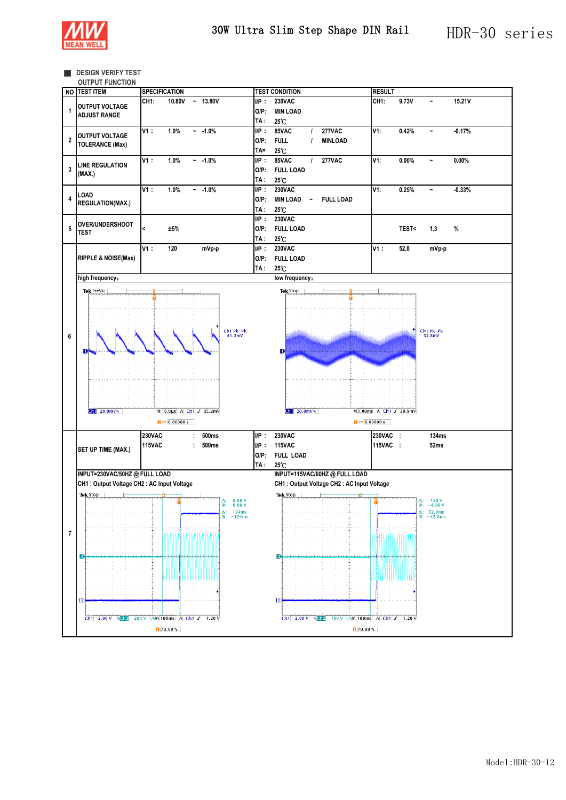

**EXIGN VERIFY TEST** 

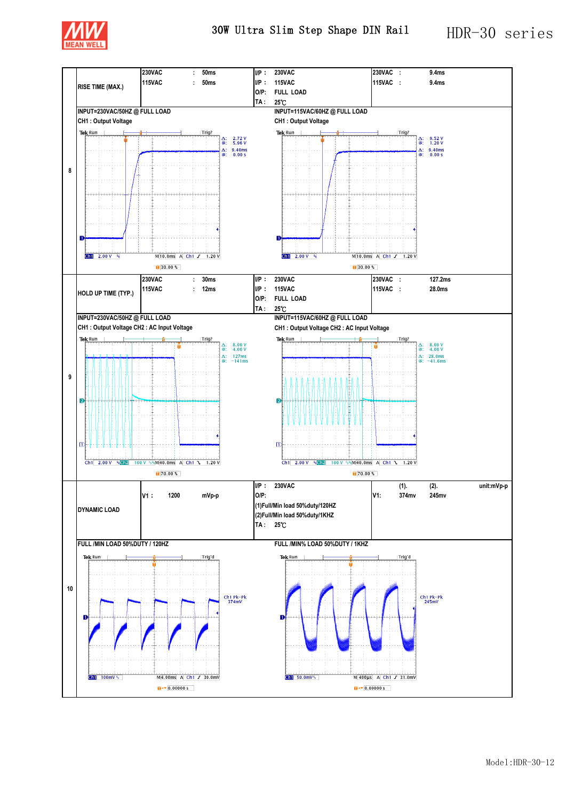

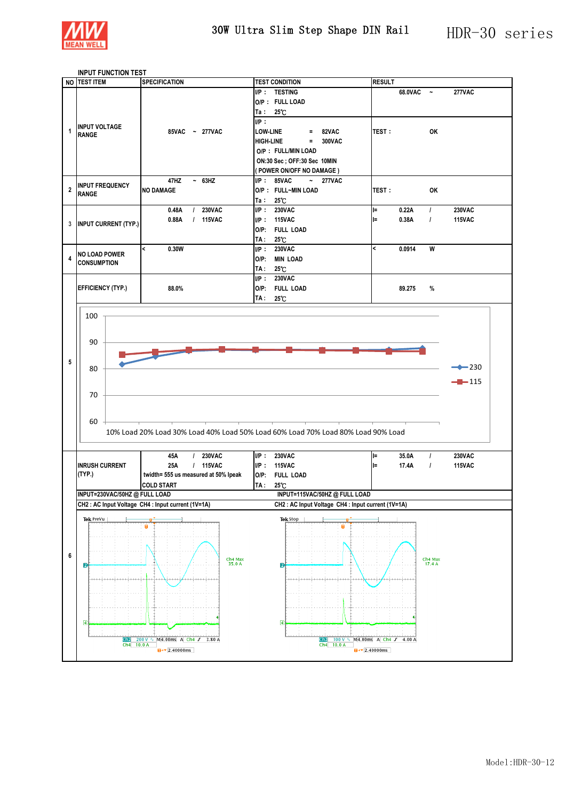

#### **INPUT FUNCTION TEST**

| NO TEST ITEM |                               | <b>SPECIFICATION</b>                             | <b>TEST CONDITION</b>                                                            | <b>RESULT</b>            |           |                     |                   |  |
|--------------|-------------------------------|--------------------------------------------------|----------------------------------------------------------------------------------|--------------------------|-----------|---------------------|-------------------|--|
|              |                               |                                                  | I/P: TESTING                                                                     |                          | 68.0VAC ~ |                     | <b>277VAC</b>     |  |
|              |                               |                                                  | O/P: FULL LOAD                                                                   |                          |           |                     |                   |  |
|              |                               |                                                  | Ta: $25^{\circ}$ C                                                               |                          |           |                     |                   |  |
|              |                               |                                                  | UP:                                                                              |                          |           |                     |                   |  |
| 1            | <b>INPUT VOLTAGE</b>          | 85VAC ~ 277VAC                                   | $= 82VAC$<br><b>LOW-LINE</b>                                                     | <b>TEST:</b>             |           | OK                  |                   |  |
|              | <b>RANGE</b>                  |                                                  | $= 300VAC$<br><b>HIGH-LINE</b>                                                   |                          |           |                     |                   |  |
|              |                               |                                                  | O/P: FULL/MIN LOAD                                                               |                          |           |                     |                   |  |
|              |                               |                                                  | ON:30 Sec ; OFF:30 Sec 10MIN                                                     |                          |           |                     |                   |  |
|              |                               |                                                  | (POWER ON/OFF NO DAMAGE)                                                         |                          |           |                     |                   |  |
|              |                               | 47HZ<br>$~\sim~$ 63HZ                            | $I/P: 85VAC \sim 277VAC$                                                         |                          |           |                     |                   |  |
| $\mathbf{2}$ | <b>INPUT FREQUENCY</b>        | <b>NO DAMAGE</b>                                 | O/P: FULL~MIN LOAD                                                               | <b>TEST:</b>             |           | OK                  |                   |  |
|              | <b>RANGE</b>                  |                                                  | Ta: $25^{\circ}$ C                                                               |                          |           |                     |                   |  |
|              |                               | / 230VAC<br>0.48A                                | UP: 230VAC                                                                       | $=$                      | 0.22A     | $\mathcal{L}$       | <b>230VAC</b>     |  |
|              |                               | 0.88A<br>/ 115VAC                                | I/P: 115VAC                                                                      | $=$                      | 0.38A     | $\prime$            | <b>115VAC</b>     |  |
|              | 3 INPUT CURRENT (TYP.)        |                                                  | O/P: FULL LOAD                                                                   |                          |           |                     |                   |  |
|              |                               |                                                  | TA: 25°C                                                                         |                          |           |                     |                   |  |
|              |                               | $\prec$<br>0.30W                                 | UP: 230VAC                                                                       | $\overline{\phantom{a}}$ | 0.0914    | W                   |                   |  |
| 4            | <b>NO LOAD POWER</b>          |                                                  | O/P: MIN LOAD                                                                    |                          |           |                     |                   |  |
|              | <b>CONSUMPTION</b>            |                                                  | TA: 25°C                                                                         |                          |           |                     |                   |  |
|              |                               |                                                  | I/P: 230VAC                                                                      |                          |           |                     |                   |  |
|              | <b>EFFICIENCY (TYP.)</b>      | 88.0%                                            | O/P: FULL LOAD                                                                   |                          | 89.275    | %                   |                   |  |
|              |                               |                                                  | TA: 25°C                                                                         |                          |           |                     |                   |  |
|              |                               |                                                  |                                                                                  |                          |           |                     |                   |  |
|              | 100                           |                                                  |                                                                                  |                          |           |                     |                   |  |
|              |                               |                                                  |                                                                                  |                          |           |                     |                   |  |
|              |                               |                                                  |                                                                                  |                          |           |                     |                   |  |
|              | 90                            |                                                  |                                                                                  |                          |           |                     |                   |  |
|              |                               |                                                  |                                                                                  |                          |           |                     |                   |  |
| 5            | 80                            |                                                  |                                                                                  |                          |           |                     | $\rightarrow$ 230 |  |
|              |                               |                                                  |                                                                                  |                          |           |                     |                   |  |
|              |                               |                                                  |                                                                                  |                          |           |                     | $-115$            |  |
|              | 70                            |                                                  |                                                                                  |                          |           |                     |                   |  |
|              |                               |                                                  |                                                                                  |                          |           |                     |                   |  |
|              |                               |                                                  |                                                                                  |                          |           |                     |                   |  |
|              | $60 +$                        |                                                  |                                                                                  |                          |           |                     |                   |  |
|              |                               |                                                  | 10% Load 20% Load 30% Load 40% Load 50% Load 60% Load 70% Load 80% Load 90% Load |                          |           |                     |                   |  |
|              |                               |                                                  |                                                                                  |                          |           |                     |                   |  |
|              |                               | 45A<br>/ 230VAC                                  | I/P: 230VAC                                                                      | l=                       | 35.0A     | $\prime$            | <b>230VAC</b>     |  |
|              | <b>INRUSH CURRENT</b>         | 25A<br>/ 115VAC                                  | I/P: 115VAC                                                                      | $=$                      | 17.4A     | $\mathcal{L}$       | <b>115VAC</b>     |  |
|              | (TYP.)                        |                                                  | O/P: FULL LOAD                                                                   |                          |           |                     |                   |  |
|              |                               | twidth= 555 us measured at 50% lpeak             |                                                                                  |                          |           |                     |                   |  |
|              |                               | <b>COLD START</b>                                | TA: 25°C                                                                         |                          |           |                     |                   |  |
|              | INPUT=230VAC/50HZ @ FULL LOAD |                                                  | INPUT=115VAC/50HZ @ FULL LOAD                                                    |                          |           |                     |                   |  |
|              |                               | CH2: AC Input Voltage CH4: Input current (1V=1A) | CH2: AC Input Voltage CH4: Input current (1V=1A)                                 |                          |           |                     |                   |  |
|              |                               |                                                  |                                                                                  |                          |           |                     |                   |  |
|              | Tek PreVu                     |                                                  | Tek Stop                                                                         |                          |           |                     |                   |  |
|              |                               |                                                  |                                                                                  |                          |           |                     |                   |  |
|              |                               |                                                  |                                                                                  |                          |           |                     |                   |  |
| 6            |                               |                                                  |                                                                                  |                          |           |                     |                   |  |
|              | 2                             | Ch4 Max<br>35.0 A                                | Ø                                                                                |                          |           | Ch4 Max<br>$17.4 A$ |                   |  |
|              |                               |                                                  |                                                                                  |                          |           |                     |                   |  |
|              |                               | بمنابه والمتواطن والمتواطن والمتواطن والمتواطن   |                                                                                  |                          |           |                     |                   |  |
|              |                               |                                                  |                                                                                  |                          |           |                     |                   |  |
|              |                               |                                                  |                                                                                  |                          |           |                     |                   |  |
|              |                               |                                                  |                                                                                  |                          |           |                     |                   |  |
|              | ④                             |                                                  | ④                                                                                |                          |           |                     |                   |  |
|              |                               |                                                  |                                                                                  |                          |           |                     |                   |  |
|              | Ch2<br>Ch4 10.0 A             | 200 V \ M4.00ms A Ch4 J 3.80 A                   | 100 V ∿ M4.00ms A Ch4 S 4.00 A<br>Ch2<br>Ch4 10.0 A                              |                          |           |                     |                   |  |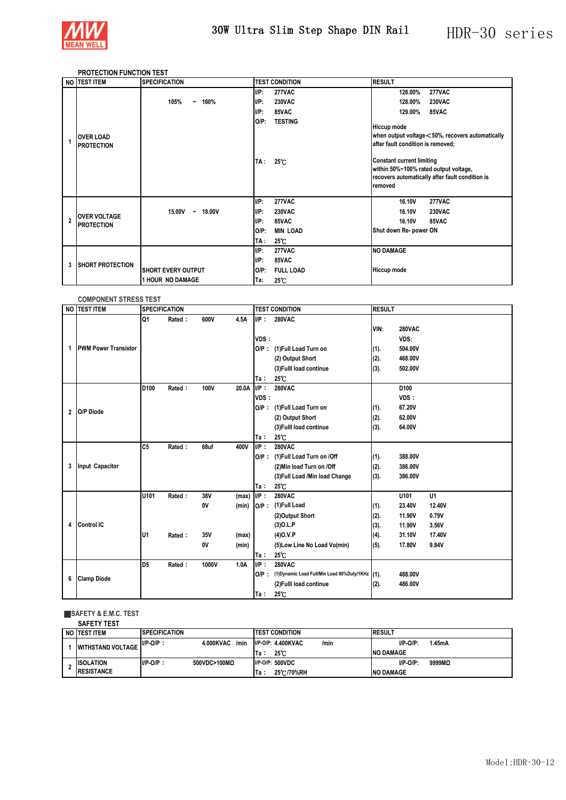

### **PROTECTION FUNCTION TEST**

|                | NO <b>ITEST ITEM</b>                     | <b>SPECIFICATION</b>                  |         | <b>TEST CONDITION</b> | <b>RESULT</b>                     |                                  |                                                                                          |  |
|----------------|------------------------------------------|---------------------------------------|---------|-----------------------|-----------------------------------|----------------------------------|------------------------------------------------------------------------------------------|--|
|                |                                          |                                       | UP:     | <b>277VAC</b>         |                                   | 128.00%                          | <b>277VAC</b>                                                                            |  |
|                |                                          | 105%<br>160%<br>$\tilde{\phantom{a}}$ | UP:     | <b>230VAC</b>         |                                   | 128.00%                          | <b>230VAC</b>                                                                            |  |
|                |                                          |                                       | IP:     | 85VAC                 |                                   | 129.00%                          | 85VAC                                                                                    |  |
|                |                                          |                                       | $O/P$ : | <b>TESTING</b>        |                                   |                                  |                                                                                          |  |
|                |                                          |                                       |         |                       | <b>Hiccup mode</b>                |                                  |                                                                                          |  |
|                | <b>OVER LOAD</b>                         |                                       |         |                       |                                   |                                  | when output voltage <50%, recovers automatically                                         |  |
|                | <b>PROTECTION</b>                        |                                       |         |                       | after fault condition is removed; |                                  |                                                                                          |  |
|                |                                          |                                       |         |                       |                                   | <b>Constant current limiting</b> |                                                                                          |  |
|                |                                          |                                       | TA :    | $25^{\circ}$ C        |                                   |                                  |                                                                                          |  |
|                |                                          |                                       |         |                       |                                   |                                  | within 50%~100% rated output voltage,<br>recovers automatically after fault condition is |  |
|                |                                          |                                       |         |                       |                                   |                                  |                                                                                          |  |
|                |                                          |                                       |         |                       | removed                           |                                  |                                                                                          |  |
|                |                                          |                                       | $I/P$ : | <b>277VAC</b>         |                                   | 16.10V                           | <b>277VAC</b>                                                                            |  |
|                |                                          | 18.00V<br>15.00V<br>$\sim$            | UP:     | <b>230VAC</b>         |                                   | 16.10V                           | <b>230VAC</b>                                                                            |  |
| $\overline{2}$ | <b>OVER VOLTAGE</b><br><b>PROTECTION</b> |                                       | $I/P$ : | 85VAC                 |                                   | 16.10V                           | 85VAC                                                                                    |  |
|                |                                          |                                       | $O/P$ : | <b>MIN LOAD</b>       |                                   | Shut down Re- power ON           |                                                                                          |  |
|                |                                          |                                       | TA :    | $25^{\circ}$ C        |                                   |                                  |                                                                                          |  |
|                |                                          |                                       | UP:     | <b>277VAC</b>         | <b>NO DAMAGE</b>                  |                                  |                                                                                          |  |
| 3              | <b>SHORT PROTECTION</b>                  |                                       | IP:     | 85VAC                 |                                   |                                  |                                                                                          |  |
|                |                                          | <b>SHORT EVERY OUTPUT</b>             | $O/P$ : | <b>FULL LOAD</b>      | <b>Hiccup mode</b>                |                                  |                                                                                          |  |
|                |                                          | 1 HOUR NO DAMAGE                      | Ta:     | $25^{\circ}$ C        |                                   |                                  |                                                                                          |  |

### **COMPONENT STRESS TEST**

|                | NO TEST ITEM                | <b>SPECIFICATION</b> |        |       |       | <b>TEST CONDITION</b> |                                                      |      | <b>RESULT</b> |                |  |
|----------------|-----------------------------|----------------------|--------|-------|-------|-----------------------|------------------------------------------------------|------|---------------|----------------|--|
|                |                             | Q1                   | Rated: | 600V  | 4.5A  | $I/P$ :               | <b>280VAC</b>                                        |      |               |                |  |
| 1              |                             |                      |        |       |       |                       |                                                      | VIN: | <b>280VAC</b> |                |  |
|                |                             |                      |        |       |       | VDS:                  |                                                      |      | VDS:          |                |  |
|                | <b>PWM Power Transistor</b> |                      |        |       |       | $O/P$ :               | (1) Full Load Turn on                                | (1). | 504.00V       |                |  |
|                |                             |                      |        |       |       |                       | (2) Output Short                                     | (2). | 468.00V       |                |  |
|                |                             |                      |        |       |       |                       | (3) Fulll load continue                              | (3). | 502.00V       |                |  |
|                |                             |                      |        |       |       | Ta:                   | $25^\circ$ C                                         |      |               |                |  |
|                |                             | D <sub>100</sub>     | Rated: | 100V  | 20.0A | UP:                   | <b>280VAC</b>                                        |      | D100          |                |  |
|                |                             |                      |        |       |       | VDS:                  |                                                      |      | VDS:          |                |  |
| $\overline{2}$ | O/P Diode                   |                      |        |       |       | $O/P$ :               | (1) Full Load Turn on                                | (1). | 67.20V        |                |  |
|                |                             |                      |        |       |       |                       | (2) Output Short                                     | (2). | 62.00V        |                |  |
|                |                             |                      |        |       |       |                       | (3) Fulll load continue                              | (3). | 64.00V        |                |  |
|                |                             |                      |        |       |       | Ta:                   | $25^{\circ}$ C                                       |      |               |                |  |
|                |                             | C <sub>5</sub>       | Rated: | 68uf  | 400V  | UP:                   | <b>280VAC</b>                                        |      |               |                |  |
|                | Input Capacitor             |                      |        |       |       |                       | O/P: (1)Full Load Turn on /Off                       | (1). | 388.00V       |                |  |
| 3              |                             |                      |        |       |       |                       | (2) Min load Turn on /Off                            | (2). | 386,00V       |                |  |
|                |                             |                      |        |       |       |                       | (3) Full Load /Min load Change                       | (3). | 386.00V       |                |  |
|                |                             |                      |        |       |       | Ta:                   | $25^\circ$ C                                         |      |               |                |  |
|                |                             | U101                 | Rated: | 38V   | (max) | UP:                   | <b>280VAC</b>                                        |      | U101          | U <sub>1</sub> |  |
|                |                             |                      |        | 0V    | (min) | $O/P$ :               | (1)Full Load                                         | (1). | 23.40V        | 12.40V         |  |
|                |                             |                      |        |       |       |                       | (2)Output Short                                      | (2). | 11.90V        | 0.79V          |  |
| 4              | <b>Control IC</b>           |                      |        |       |       |                       | (3)O.L.P                                             | (3). | 11.90V        | 3.56V          |  |
|                |                             | IU1                  | Rated: | 35V   | (max) |                       | (4)O.V.P                                             | (4). | 31.10V        | 17.40V         |  |
|                |                             |                      |        | 0V    | (min) |                       | (5) Low Line No Load Vo(min)                         | (5). | 17.80V        | 9.84V          |  |
|                |                             |                      |        |       |       | Ta:                   | $25^\circ$ C                                         |      |               |                |  |
|                |                             | D <sub>5</sub>       | Rated: | 1000V | 1.0A  | UP:                   | <b>280VAC</b>                                        |      |               |                |  |
| 6              | <b>Clamp Diode</b>          |                      |        |       |       |                       | O/P: (1)Dynamic Load Full/Min Load 90%Duty/1KHz (1). |      | 488.00V       |                |  |
|                |                             |                      |        |       |       |                       | (2) Fulll load continue                              | (2). | 486.00V       |                |  |
|                |                             |                      |        |       |       | Ta:                   | $25^\circ$ C                                         |      |               |                |  |

#### ■**SAFETY & E.M.C. TEST**

| \FETY TEST |                    |
|------------|--------------------|
|            | <b>ABRAHAIRLAL</b> |

| NO TEST ITEM             | <b>SPECIFICATION</b> |                   | <b>ITEST CONDITION</b>            | <b>RESULT</b>         |
|--------------------------|----------------------|-------------------|-----------------------------------|-----------------------|
| <b>WITHSTAND VOLTAGE</b> | $I/P-O/P$ .          | 4.000KVAC<br>/min | <b>I/P-O/P: 4.400KVAC</b><br>/min | $I/P-O/P$ :<br>l.45mA |
|                          |                      |                   | $25^\circ$ C<br>l Ta              | <b>NO DAMAGE</b>      |
| <b>ISOLATION</b>         | $I/P-O/P$ :          | 500VDC>100MΩ      | I/P-O/P: 500VDC                   | $I/P-O/P$ :<br>9999MQ |
| <b>IRESISTANCE</b>       |                      |                   | 25 C/70%RH<br>'Ta                 | <b>NO DAMAGE</b>      |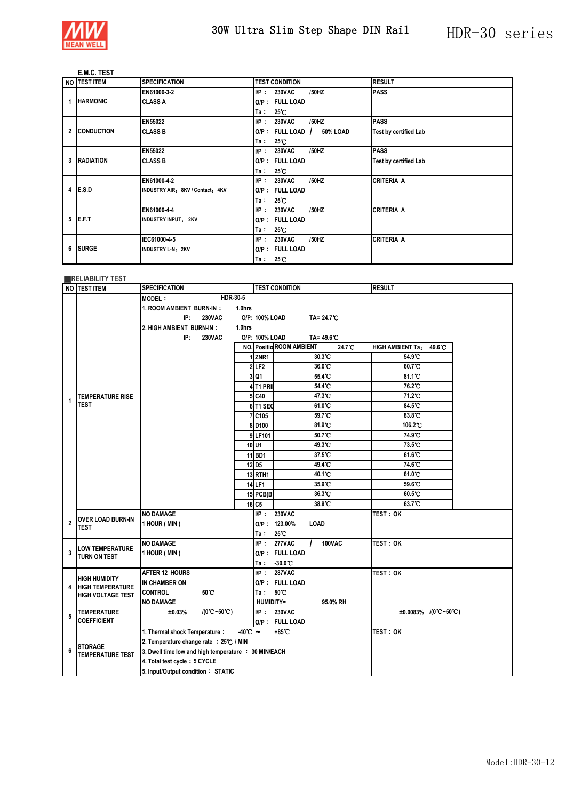

### **E.M.C. TEST**

|   | NO TEST ITEM      | <b>SPECIFICATION</b>             | <b>RESULT</b><br><b>TEST CONDITION</b>                          |  |
|---|-------------------|----------------------------------|-----------------------------------------------------------------|--|
|   |                   | EN61000-3-2                      | <b>PASS</b><br>UP:<br>/50HZ<br><b>230VAC</b>                    |  |
| 1 | <b>HARMONIC</b>   | <b>CLASS A</b>                   | O/P: FULL LOAD                                                  |  |
|   |                   |                                  | $25^{\circ}$ C<br>Ta:                                           |  |
|   |                   | <b>EN55022</b>                   | <b>PASS</b><br>/50HZ<br><b>230VAC</b><br>UP:                    |  |
| 2 | <b>CONDUCTION</b> | <b>CLASS B</b>                   | $O/P$ : FULL LOAD /<br>50% LOAD<br><b>Test by certified Lab</b> |  |
|   |                   |                                  | $25^{\circ}$ C<br>Ta:                                           |  |
|   |                   | <b>EN55022</b>                   | /50HZ<br><b>PASS</b><br>UP:<br><b>230VAC</b>                    |  |
| 3 | <b>RADIATION</b>  | <b>CLASS B</b>                   | O/P: FULL LOAD<br><b>Test by certified Lab</b>                  |  |
|   |                   |                                  | 25°C<br>Ta∶                                                     |  |
|   |                   | EN61000-4-2                      | /50HZ<br><b>CRITERIA A</b><br><b>230VAC</b><br>UP:              |  |
| 4 | E.S.D             | INDUSTRY AIR: 8KV / Contact: 4KV | O/P: FULL LOAD                                                  |  |
|   |                   |                                  | $25^{\circ}$ C<br>Ta :                                          |  |
|   |                   | EN61000-4-4                      | /50HZ<br><b>CRITERIA A</b><br><b>230VAC</b><br>UP:              |  |
| 5 | E.F.T             | <b>INDUSTRY INPUT: 2KV</b>       | O/P: FULL LOAD                                                  |  |
|   |                   |                                  | 25°C<br>Ta∶                                                     |  |
|   |                   | IEC61000-4-5                     | /50HZ<br><b>CRITERIA A</b><br>IP:<br><b>230VAC</b>              |  |
| 6 | <b>ISURGE</b>     | <b>INDUSTRY L-N: 2KV</b>         | O/P: FULL LOAD                                                  |  |
|   |                   |                                  | $25^{\circ}$ C<br>Ta:                                           |  |

#### ■**RELIABILITY TEST**

|                | NO TEST ITEM                                    | <b>SPECIFICATION</b>                                 |                              |                  | <b>TEST CONDITION</b>              | <b>RESULT</b>                              |  |
|----------------|-------------------------------------------------|------------------------------------------------------|------------------------------|------------------|------------------------------------|--------------------------------------------|--|
|                |                                                 | HDR-30-5<br><b>MODEL:</b>                            |                              |                  |                                    |                                            |  |
|                |                                                 | 1. ROOM AMBIENT BURN-IN:<br>1.0hrs                   |                              |                  |                                    |                                            |  |
|                |                                                 | IP:<br><b>230VAC</b>                                 | O/P: 100% LOAD<br>TA= 24.7°C |                  |                                    |                                            |  |
|                |                                                 | 2. HIGH AMBIENT BURN-IN:<br>1.0hrs                   |                              |                  |                                    |                                            |  |
|                |                                                 | IP:<br><b>230VAC</b>                                 |                              | O/P: 100% LOAD   | TA= 49.6°C                         |                                            |  |
|                |                                                 |                                                      |                              |                  | NO. Positio ROOM AMBIENT<br>24.7°C | 49.6°C<br><b>HIGH AMBIENT Ta:</b>          |  |
|                |                                                 |                                                      |                              | ZNR1             | 30.3°C                             | 54.9°C                                     |  |
|                |                                                 |                                                      |                              | 2LE2             | $36.0^\circ$                       | $60.7^{\circ}$                             |  |
|                |                                                 |                                                      | 3                            | Q1               | 55.4 C                             | $81.1^{\circ}$ C                           |  |
|                |                                                 |                                                      |                              | 4 T1 PRI         | 54.4 C                             | 76.2°C                                     |  |
| 1              | <b>TEMPERATURE RISE</b>                         |                                                      |                              | 5 C40            | 47.3°C                             | 71.2°C                                     |  |
|                | <b>TEST</b>                                     |                                                      |                              | 6 T1 SEC         | 61.0 °C                            | 84.5°C                                     |  |
|                |                                                 |                                                      |                              | C105             | 59.7°C                             | 83.8°C                                     |  |
|                |                                                 |                                                      | 8                            | D <sub>100</sub> | 81.9 C                             | 106.2°C                                    |  |
|                |                                                 |                                                      |                              | 9 LF101          | 50.7°C                             | 74.9°C                                     |  |
|                |                                                 |                                                      | $10$ <sub>U1</sub>           |                  | 49.3°C                             | $73.5^{\circ}$                             |  |
|                |                                                 |                                                      |                              | 11 BD1           | 37.5°C                             | 61.6°C                                     |  |
|                |                                                 |                                                      | 12 D <sub>5</sub>            |                  | 49.4°C                             | 74.6°C                                     |  |
|                |                                                 |                                                      |                              | <b>13 RTH1</b>   | 40.1 <sup>°</sup> C                | 61.0°C                                     |  |
|                |                                                 |                                                      | 14 LF1                       |                  | 35.9°C                             | $59.6^{\circ}$                             |  |
|                |                                                 |                                                      |                              | 15 PCB(B)        | 36.3°C                             | 60.5°C                                     |  |
|                |                                                 |                                                      | 16 C <sub>5</sub>            |                  | 38.9°C                             | 63.7°C                                     |  |
|                | <b>OVER LOAD BURN-IN</b>                        | <b>NO DAMAGE</b>                                     |                              | UP:              | <b>230VAC</b>                      | test : ok                                  |  |
| $\overline{2}$ | <b>TEST</b>                                     | 1 HOUR (MIN)                                         |                              |                  | O/P: 123.00%<br>LOAD               |                                            |  |
|                |                                                 |                                                      |                              | Ta ∶             | $25^{\circ}$                       |                                            |  |
|                | <b>LOW TEMPERATURE</b>                          | <b>NO DAMAGE</b>                                     |                              | UP:              | <b>277VAC</b><br><b>100VAC</b>     | TEST: OK                                   |  |
| 3              | <b>TURN ON TEST</b>                             | 1 HOUR (MIN)                                         |                              |                  | O/P: FULL LOAD                     |                                            |  |
|                |                                                 |                                                      |                              | Ta∶              | $-30.0$ °C                         |                                            |  |
|                |                                                 | <b>AFTER 12 HOURS</b>                                |                              | UP:              | <b>287VAC</b>                      | TEST: OK                                   |  |
| 4              | <b>HIGH HUMIDITY</b><br><b>HIGH TEMPERATURE</b> | IN CHAMBER ON                                        |                              |                  | O/P: FULL LOAD                     |                                            |  |
|                | <b>HIGH VOLTAGE TEST</b>                        | 50°C<br><b>CONTROL</b>                               |                              | Ta∶              | $50^{\circ}$ C                     |                                            |  |
|                |                                                 | <b>NO DAMAGE</b>                                     |                              | <b>HUMIDITY=</b> | 95.0% RH                           |                                            |  |
| 5              | <b>TEMPERATURE</b>                              | $/(0^{\circ}C - 50^{\circ}C)$<br>±0.03%              |                              | UP:              | <b>230VAC</b>                      | ±0.0083% $\sqrt{(0^{\circ}C-50^{\circ}C)}$ |  |
|                | <b>COEFFICIENT</b>                              |                                                      |                              |                  | O/P: FULL LOAD                     |                                            |  |
|                |                                                 | 1. Thermal shock Temperature:                        | $-40^{\circ}$ $\sim$         |                  | +85°C                              | TEST: OK                                   |  |
|                | <b>STORAGE</b>                                  | 2. Temperature change rate : 25°C / MIN              |                              |                  |                                    |                                            |  |
| 6              | <b>TEMPERATURE TEST</b>                         | 3. Dwell time low and high temperature : 30 MIN/EACH |                              |                  |                                    |                                            |  |
|                |                                                 | 4. Total test cycle: 5 CYCLE                         |                              |                  |                                    |                                            |  |
|                |                                                 | 5. Input/Output condition: STATIC                    |                              |                  |                                    |                                            |  |